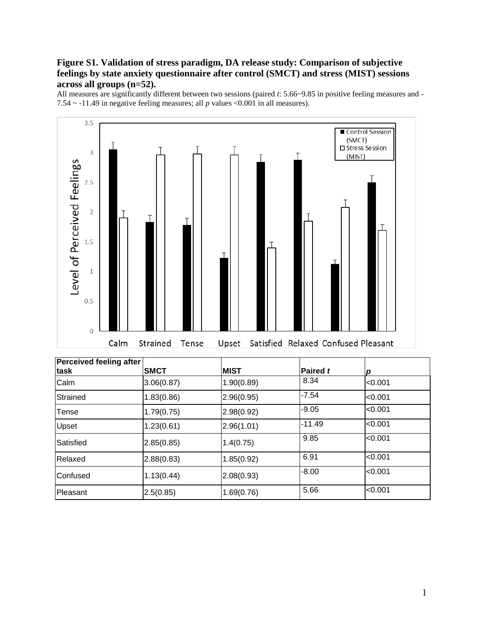# **Figure S1. Validation of stress paradigm, DA release study: Comparison of subjective feelings by state anxiety questionnaire after control (SMCT) and stress (MIST) sessions across all groups (n=52).**

All measures are significantly different between two sessions (paired *t*: 5.66~9.85 in positive feeling measures and - 7.54 ~ -11.49 in negative feeling measures; all *p* values <0.001 in all measures).



| Perceived feeling after<br>task | <b>SMCT</b> | <b>MIST</b> | Paired t | p       |
|---------------------------------|-------------|-------------|----------|---------|
| Calm                            | 3.06(0.87)  | 1.90(0.89)  | 8.34     | < 0.001 |
| Strained                        | 1.83(0.86)  | 2.96(0.95)  | $-7.54$  | < 0.001 |
| Tense                           | 1.79(0.75)  | 2.98(0.92)  | $-9.05$  | < 0.001 |
| Upset                           | 1.23(0.61)  | 2.96(1.01)  | $-11.49$ | < 0.001 |
| Satisfied                       | 2.85(0.85)  | 1.4(0.75)   | 9.85     | < 0.001 |
| Relaxed                         | 2.88(0.83)  | 1.85(0.92)  | 6.91     | < 0.001 |
| <b>Confused</b>                 | 1.13(0.44)  | 2.08(0.93)  | $-8.00$  | < 0.001 |
| Pleasant                        | 2.5(0.85)   | 1.69(0.76)  | 5.66     | < 0.001 |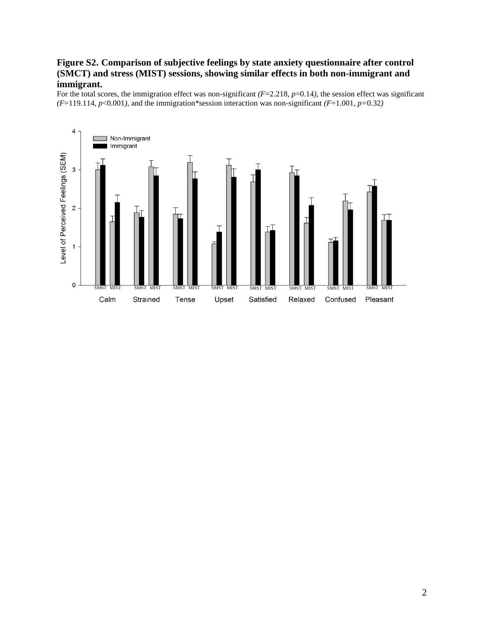### **Figure S2. Comparison of subjective feelings by state anxiety questionnaire after control (SMCT) and stress (MIST) sessions, showing similar effects in both non-immigrant and immigrant.**

For the total scores, the immigration effect was non-significant *(F*=2.218*, p*=0.14*)*, the session effect was significant *(F*=119.114*, p*<0.001*)*, and the immigration\*session interaction was non-significant *(F*=1.001*, p=*0.32*)*

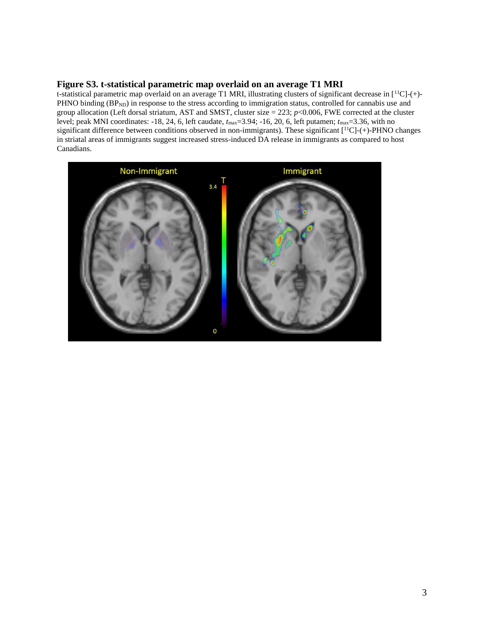### **Figure S3. t-statistical parametric map overlaid on an average T1 MRI**

t-statistical parametric map overlaid on an average T1 MRI, illustrating clusters of significant decrease in [<sup>11</sup>C]-(+)- PHNO binding (BP<sub>ND</sub>) in response to the stress according to immigration status, controlled for cannabis use and group allocation (Left dorsal striatum, AST and SMST, cluster size = 223; *p*<0.006, FWE corrected at the cluster level; peak MNI coordinates: -18, 24, 6, left caudate,  $t_{\text{max}}$ =3.94; -16, 20, 6, left putamen;  $t_{\text{max}}$ =3.36, with no significant difference between conditions observed in non-immigrants). These significant [<sup>11</sup>C]-(+)-PHNO changes in striatal areas of immigrants suggest increased stress-induced DA release in immigrants as compared to host Canadians.

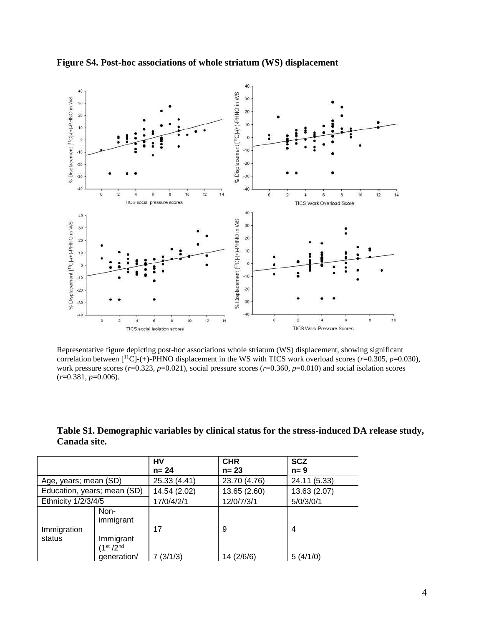

**Figure S4. Post-hoc associations of whole striatum (WS) displacement**

Representative figure depicting post-hoc associations whole striatum (WS) displacement, showing significant correlation between [<sup>11</sup>C]-(+)-PHNO displacement in the WS with TICS work overload scores (*r*=0.305, *p*=0.030), work pressure scores (*r*=0.323, *p*=0.021), social pressure scores (*r*=0.360, *p*=0.010) and social isolation scores (*r*=0.381, *p*=0.006).

| Table S1. Demographic variables by clinical status for the stress-induced DA release study, |  |
|---------------------------------------------------------------------------------------------|--|
| Canada site.                                                                                |  |

|                             |                                                  | HV           | <b>CHR</b>   | <b>SCZ</b>   |
|-----------------------------|--------------------------------------------------|--------------|--------------|--------------|
|                             |                                                  | $n = 24$     | $n = 23$     | $n = 9$      |
| Age, years; mean (SD)       |                                                  | 25.33 (4.41) | 23.70 (4.76) | 24.11 (5.33) |
| Education, years; mean (SD) |                                                  | 14.54 (2.02) | 13.65 (2.60) | 13.63 (2.07) |
| Ethnicity 1/2/3/4/5         |                                                  | 17/0/4/2/1   | 12/0/7/3/1   | 5/0/3/0/1    |
|                             | Non-<br>immigrant                                |              |              |              |
| Immigration                 |                                                  | 17           | 9            | 4            |
| status                      | Immigrant<br>(1 <sup>st</sup> /2 <sup>nd</sup> ) |              |              |              |
|                             | generation/                                      | 7(3/1/3)     | 14 (2/6/6)   | 5(4/1/0)     |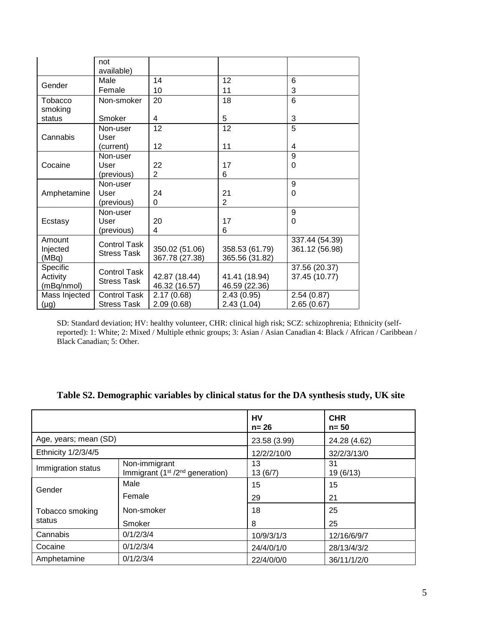|                    | not<br>available)   |                |                |                |
|--------------------|---------------------|----------------|----------------|----------------|
| Gender             | Male                | 14             | 12             | 6              |
|                    | Female              | 10             | 11             | 3              |
| Tobacco<br>smoking | Non-smoker          | 20             | 18             | 6              |
| status             | Smoker              | 4              | 5              | 3              |
|                    | Non-user            | 12             | 12             | 5              |
| Cannabis           | User                |                |                |                |
|                    | (current)           | 12             | 11             | 4              |
|                    | Non-user            |                |                | 9              |
| Cocaine            | User                | 22             | 17             | 0              |
|                    | (previous)          | $\overline{2}$ | 6              |                |
|                    | Non-user            |                |                | 9              |
| Amphetamine        | User                | 24             | 21             | 0              |
|                    | (previous)          | 0              | $\overline{2}$ |                |
|                    | Non-user            |                |                | 9              |
| Ecstasy            | User                | 20             | 17             | 0              |
|                    | (previous)          | 4              | 6              |                |
| Amount             | <b>Control Task</b> |                |                | 337.44 (54.39) |
| Injected           | <b>Stress Task</b>  | 350.02 (51.06) | 358.53 (61.79) | 361.12 (56.98) |
| (MBq)              |                     | 367.78 (27.38) | 365.56 (31.82) |                |
| Specific           | <b>Control Task</b> |                |                | 37.56 (20.37)  |
| Activity           | <b>Stress Task</b>  | 42.87 (18.44)  | 41.41 (18.94)  | 37.45 (10.77)  |
| (mBq/nmol)         |                     | 46.32 (16.57)  | 46.59 (22.36)  |                |
| Mass Injected      | Control Task        | 2.17(0.68)     | 2.43(0.95)     | 2.54(0.87)     |
| (µg)               | <b>Stress Task</b>  | 2.09(0.68)     | 2.43(1.04)     | 2.65(0.67)     |

SD: Standard deviation; HV: healthy volunteer, CHR: clinical high risk; SCZ: schizophrenia; Ethnicity (selfreported): 1: White; 2: Mixed / Multiple ethnic groups; 3: Asian / Asian Canadian 4: Black / African / Caribbean / Black Canadian; 5: Other.

|                       |                                                     | HV<br>$n = 26$ | <b>CHR</b><br>$n = 50$ |
|-----------------------|-----------------------------------------------------|----------------|------------------------|
| Age, years; mean (SD) |                                                     | 23.58 (3.99)   | 24.28 (4.62)           |
| Ethnicity 1/2/3/4/5   |                                                     | 12/2/2/10/0    | 32/2/3/13/0            |
| Immigration status    | Non-immigrant<br>Immigrant $(1st / 2nd$ generation) | 13<br>13(6/7)  | 31<br>19 (6/13)        |
| Gender                | Male                                                | 15             | 15                     |
|                       | Female                                              | 29             | 21                     |
| Tobacco smoking       | Non-smoker                                          | 18             | 25                     |
| status                | Smoker                                              | 8              | 25                     |
| Cannabis              | 0/1/2/3/4                                           | 10/9/3/1/3     | 12/16/6/9/7            |
| Cocaine               | 0/1/2/3/4                                           | 24/4/0/1/0     | 28/13/4/3/2            |
| Amphetamine           | 0/1/2/3/4                                           | 22/4/0/0/0     | 36/11/1/2/0            |

# **Table S2. Demographic variables by clinical status for the DA synthesis study, UK site**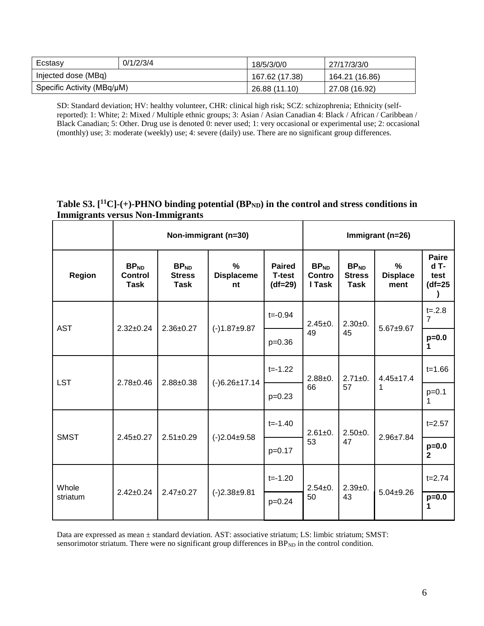| Ecstasy                    | 0/1/2/3/4 | 18/5/3/0/0     | 27/17/3/3/0    |
|----------------------------|-----------|----------------|----------------|
| Injected dose (MBq)        |           | 167.62 (17.38) | 164.21 (16.86) |
| Specific Activity (MBq/µM) |           | 26.88 (11.10)  | 27.08 (16.92)  |

SD: Standard deviation; HV: healthy volunteer, CHR: clinical high risk; SCZ: schizophrenia; Ethnicity (selfreported): 1: White; 2: Mixed / Multiple ethnic groups; 3: Asian / Asian Canadian 4: Black / African / Caribbean / Black Canadian; 5: Other. Drug use is denoted 0: never used; 1: very occasional or experimental use; 2: occasional (monthly) use; 3: moderate (weekly) use; 4: severe (daily) use. There are no significant group differences.

# **Table S3. [ <sup>11</sup>C]-(+)-PHNO binding potential (BPND) in the control and stress conditions in Immigrants versus Non-Immigrants**

|                   | Non-immigrant (n=30)                              |                                                  |                              |                                             |                                             | Immigrant (n=26)                          |                              |                                             |
|-------------------|---------------------------------------------------|--------------------------------------------------|------------------------------|---------------------------------------------|---------------------------------------------|-------------------------------------------|------------------------------|---------------------------------------------|
| <b>Region</b>     | BP <sub>ND</sub><br><b>Control</b><br><b>Task</b> | BP <sub>ND</sub><br><b>Stress</b><br><b>Task</b> | %<br><b>Displaceme</b><br>nt | <b>Paired</b><br><b>T-test</b><br>$(df=29)$ | BP <sub>ND</sub><br><b>Contro</b><br>I Task | BP <sub>ND</sub><br><b>Stress</b><br>Task | %<br><b>Displace</b><br>ment | <b>Paire</b><br>$dT -$<br>test<br>$(df=25)$ |
|                   | $2.32 \pm 0.24$                                   | $2.36 \pm 0.27$<br>$(-)1.87+9.87$                | $t = -0.94$                  | $2.45 \pm 0.$                               | $2.30+0.$                                   | $5.67 + 9.67$                             | $t = 0.28$<br>7              |                                             |
| <b>AST</b>        |                                                   |                                                  |                              | $p=0.36$                                    | 49                                          | 45                                        |                              | $p=0.0$<br>1                                |
| <b>LST</b>        | $2.78 \pm 0.46$                                   | $2.88 \pm 0.38$                                  | $(-)6.26 \pm 17.14$          | $t = -1.22$                                 | $2.88 + 0.$<br>66                           | $2.71 \pm 0.$<br>57                       | $4.45 \pm 17.4$<br>1         | $t = 1.66$                                  |
|                   |                                                   |                                                  |                              | $p=0.23$                                    |                                             |                                           |                              | $p=0.1$<br>1.                               |
| <b>SMST</b>       | $2.45 \pm 0.27$                                   | $2.51 \pm 0.29$                                  | $(-)2.04 \pm 9.58$           | $t = -1.40$                                 | $2.61 \pm 0.$<br>53                         | $2.50+0.$<br>47                           | $2.96 \pm 7.84$              | $t = 2.57$                                  |
|                   |                                                   |                                                  |                              | $p=0.17$                                    |                                             |                                           |                              | $p=0.0$<br>$\mathbf{2}$                     |
| Whole<br>striatum | $2.42 \pm 0.24$                                   | $2.47 \pm 0.27$                                  | $(-)2.38+9.81$               | $t = -1.20$                                 | $2.54 \pm 0.$                               | $2.39+0.$<br>43                           | $5.04 \pm 9.26$              | $t = 2.74$                                  |
|                   |                                                   |                                                  |                              | $p=0.24$                                    | 50                                          |                                           |                              | $p=0.0$                                     |

Data are expressed as mean ± standard deviation. AST: associative striatum; LS: limbic striatum; SMST: sensorimotor striatum. There were no significant group differences in BP<sub>ND</sub> in the control condition.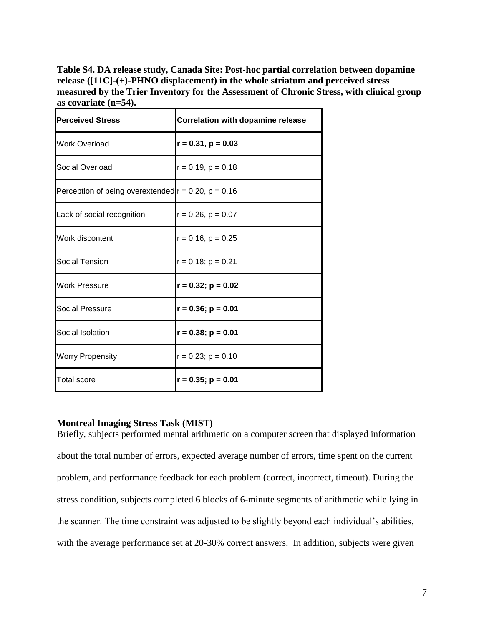**Table S4. DA release study, Canada Site: Post-hoc partial correlation between dopamine release ([11C]-(+)-PHNO displacement) in the whole striatum and perceived stress measured by the Trier Inventory for the Assessment of Chronic Stress, with clinical group as covariate (n=54).**

| <b>Perceived Stress</b>                                  | <b>Correlation with dopamine release</b> |
|----------------------------------------------------------|------------------------------------------|
| <b>Work Overload</b>                                     | $r = 0.31, p = 0.03$                     |
| Social Overload                                          | $r = 0.19$ , $p = 0.18$                  |
| Perception of being overextended $r = 0.20$ , $p = 0.16$ |                                          |
| Lack of social recognition                               | $r = 0.26$ , $p = 0.07$                  |
| Work discontent                                          | $r = 0.16$ , $p = 0.25$                  |
| Social Tension                                           | $r = 0.18$ ; $p = 0.21$                  |
| <b>Work Pressure</b>                                     | $r = 0.32$ ; $p = 0.02$                  |
| Social Pressure                                          | $r = 0.36$ ; $p = 0.01$                  |
| Social Isolation                                         | $r = 0.38; p = 0.01$                     |
| <b>Worry Propensity</b>                                  | $r = 0.23$ ; $p = 0.10$                  |
| Total score                                              | $r = 0.35$ ; $p = 0.01$                  |

### **Montreal Imaging Stress Task (MIST)**

Briefly, subjects performed mental arithmetic on a computer screen that displayed information about the total number of errors, expected average number of errors, time spent on the current problem, and performance feedback for each problem (correct, incorrect, timeout). During the stress condition, subjects completed 6 blocks of 6-minute segments of arithmetic while lying in the scanner. The time constraint was adjusted to be slightly beyond each individual's abilities, with the average performance set at 20-30% correct answers. In addition, subjects were given